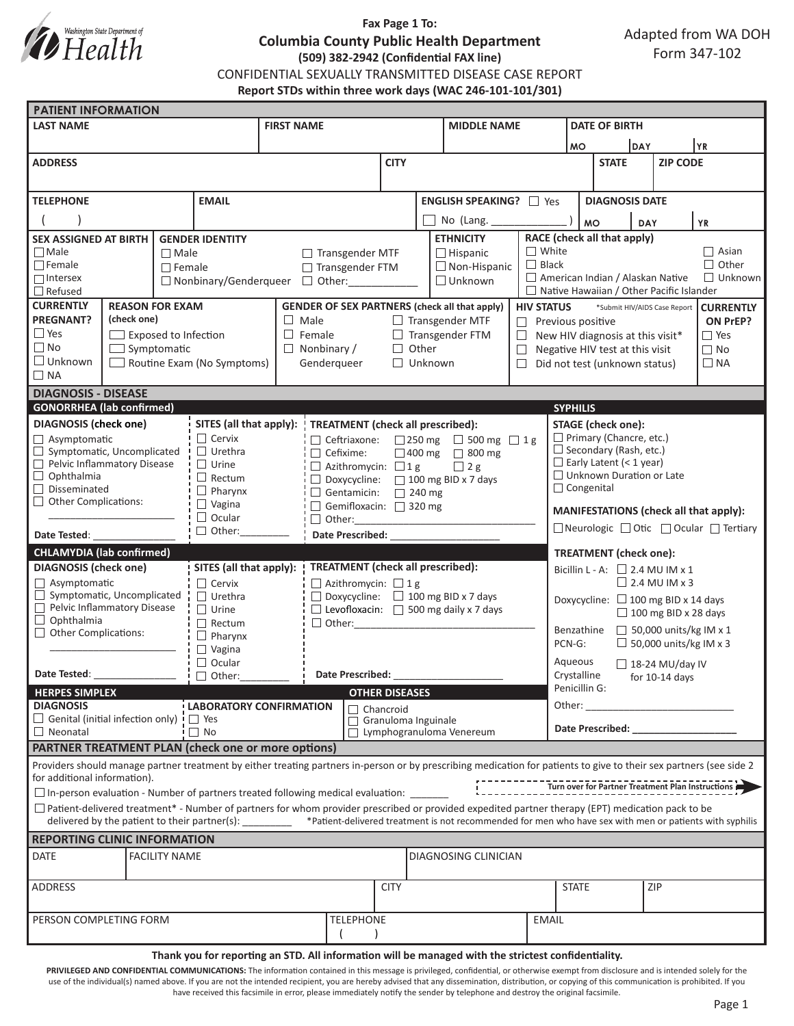

## **Fax Page 1 To: Columbia County Public Health Department (509) 382-2942 (Confidential FAX line)** CONFIDENTIAL SEXUALLY TRANSMITTED DISEASE CASE REPORT **Report STDs within three work days (WAC 246-101-101/301)**

| <b>PATIENT INFORMATION</b>                                                                                                                                          |                                                   |  |                                   |                                            |                                          |                                           |                                                                                               |                     |                       |                                                                                                                                                               |                                                |                                                                                                               |                                                                                                                                                                                                                                |                 |  |                                                   |  |
|---------------------------------------------------------------------------------------------------------------------------------------------------------------------|---------------------------------------------------|--|-----------------------------------|--------------------------------------------|------------------------------------------|-------------------------------------------|-----------------------------------------------------------------------------------------------|---------------------|-----------------------|---------------------------------------------------------------------------------------------------------------------------------------------------------------|------------------------------------------------|---------------------------------------------------------------------------------------------------------------|--------------------------------------------------------------------------------------------------------------------------------------------------------------------------------------------------------------------------------|-----------------|--|---------------------------------------------------|--|
| <b>LAST NAME</b>                                                                                                                                                    |                                                   |  |                                   |                                            | <b>FIRST NAME</b>                        |                                           |                                                                                               |                     |                       | <b>MIDDLE NAME</b>                                                                                                                                            |                                                | <b>DATE OF BIRTH</b>                                                                                          |                                                                                                                                                                                                                                |                 |  |                                                   |  |
|                                                                                                                                                                     |                                                   |  |                                   |                                            |                                          |                                           |                                                                                               |                     |                       |                                                                                                                                                               |                                                | <b>MO</b>                                                                                                     |                                                                                                                                                                                                                                | DAY             |  | YR                                                |  |
| <b>ADDRESS</b>                                                                                                                                                      |                                                   |  |                                   |                                            |                                          |                                           | <b>CITY</b>                                                                                   |                     |                       |                                                                                                                                                               |                                                | <b>STATE</b>                                                                                                  |                                                                                                                                                                                                                                | <b>ZIP CODE</b> |  |                                                   |  |
|                                                                                                                                                                     |                                                   |  |                                   |                                            |                                          |                                           |                                                                                               |                     |                       |                                                                                                                                                               |                                                |                                                                                                               |                                                                                                                                                                                                                                |                 |  |                                                   |  |
| <b>TELEPHONE</b>                                                                                                                                                    |                                                   |  |                                   |                                            |                                          | <b>ENGLISH SPEAKING?</b> □ Yes            |                                                                                               |                     | <b>DIAGNOSIS DATE</b> |                                                                                                                                                               |                                                |                                                                                                               |                                                                                                                                                                                                                                |                 |  |                                                   |  |
| <b>EMAIL</b>                                                                                                                                                        |                                                   |  |                                   |                                            |                                          |                                           |                                                                                               | No (Lang.           |                       |                                                                                                                                                               |                                                |                                                                                                               |                                                                                                                                                                                                                                |                 |  |                                                   |  |
| <b>GENDER IDENTITY</b>                                                                                                                                              |                                                   |  |                                   |                                            |                                          |                                           |                                                                                               |                     |                       | <b>ETHNICITY</b>                                                                                                                                              |                                                |                                                                                                               | <b>MO</b>                                                                                                                                                                                                                      | <b>DAY</b>      |  | <b>YR</b>                                         |  |
| <b>SEX ASSIGNED AT BIRTH</b><br>$\Box$ Male                                                                                                                         |                                                   |  | $\Box$ Male                       |                                            |                                          | $\Box$ Transgender MTF<br>$\Box$ Hispanic |                                                                                               |                     | $\Box$ White          | RACE (check all that apply)<br>$\Box$ Asian                                                                                                                   |                                                |                                                                                                               |                                                                                                                                                                                                                                |                 |  |                                                   |  |
| $\Box$ Female                                                                                                                                                       |                                                   |  | $\Box$ Female                     |                                            | □ Transgender FTM                        |                                           |                                                                                               | $\Box$ Non-Hispanic |                       |                                                                                                                                                               | $\Box$ Black                                   | $\Box$ Other                                                                                                  |                                                                                                                                                                                                                                |                 |  |                                                   |  |
| $\Box$ Intersex                                                                                                                                                     |                                                   |  |                                   | $\Box$ Nonbinary/Genderqueer $\Box$ Other: |                                          |                                           |                                                                                               |                     |                       | $\Box$ Unknown                                                                                                                                                | American Indian / Alaskan Native               |                                                                                                               |                                                                                                                                                                                                                                | $\Box$ Unknown  |  |                                                   |  |
| $\Box$ Refused<br><b>CURRENTLY</b><br><b>REASON FOR EXAM</b>                                                                                                        |                                                   |  |                                   |                                            |                                          |                                           |                                                                                               |                     |                       | $\Box$ Native Hawaiian / Other Pacific Islander                                                                                                               |                                                |                                                                                                               |                                                                                                                                                                                                                                |                 |  |                                                   |  |
| <b>PREGNANT?</b><br>(check one)                                                                                                                                     |                                                   |  |                                   |                                            |                                          |                                           | <b>GENDER OF SEX PARTNERS (check all that apply)</b><br>$\Box$ Male<br>$\Box$ Transgender MTF |                     |                       |                                                                                                                                                               |                                                | <b>HIV STATUS</b><br>*Submit HIV/AIDS Case Report<br><b>CURRENTLY</b><br>$\Box$ Previous positive<br>ON PrEP? |                                                                                                                                                                                                                                |                 |  |                                                   |  |
| $\Box$ Yes                                                                                                                                                          | $\Box$ Exposed to Infection                       |  |                                   |                                            | $\Box$ Female<br>$\Box$ Transgender FTM  |                                           |                                                                                               |                     |                       | $\Box$                                                                                                                                                        | $\Box$ Yes<br>New HIV diagnosis at this visit* |                                                                                                               |                                                                                                                                                                                                                                |                 |  |                                                   |  |
| $\Box$ No<br>$\Box$ Symptomatic                                                                                                                                     |                                                   |  |                                   |                                            |                                          | $\Box$ Other<br>$\Box$ Nonbinary /        |                                                                                               |                     |                       |                                                                                                                                                               | $\Box$                                         | $\Box$ No<br>Negative HIV test at this visit                                                                  |                                                                                                                                                                                                                                |                 |  |                                                   |  |
| $\Box$ Unknown                                                                                                                                                      |                                                   |  | $\Box$ Routine Exam (No Symptoms) |                                            |                                          | Genderqueer<br>$\Box$ Unknown             |                                                                                               |                     |                       |                                                                                                                                                               | $\Box$                                         | Did not test (unknown status)<br>$\Box$ NA                                                                    |                                                                                                                                                                                                                                |                 |  |                                                   |  |
| $\Box$ NA                                                                                                                                                           |                                                   |  |                                   |                                            |                                          |                                           |                                                                                               |                     |                       |                                                                                                                                                               |                                                |                                                                                                               |                                                                                                                                                                                                                                |                 |  |                                                   |  |
| <b>DIAGNOSIS - DISEASE</b>                                                                                                                                          |                                                   |  |                                   |                                            |                                          |                                           |                                                                                               |                     |                       |                                                                                                                                                               |                                                |                                                                                                               |                                                                                                                                                                                                                                |                 |  |                                                   |  |
| <b>GONORRHEA</b> (lab confirmed)                                                                                                                                    |                                                   |  |                                   |                                            |                                          |                                           |                                                                                               |                     |                       |                                                                                                                                                               |                                                | <b>SYPHILIS</b>                                                                                               |                                                                                                                                                                                                                                |                 |  |                                                   |  |
| <b>DIAGNOSIS</b> (check one)                                                                                                                                        |                                                   |  | SITES (all that apply):           |                                            |                                          | TREATMENT (check all prescribed):         |                                                                                               |                     |                       |                                                                                                                                                               |                                                |                                                                                                               | <b>STAGE</b> (check one):                                                                                                                                                                                                      |                 |  |                                                   |  |
|                                                                                                                                                                     | $\Box$ Asymptomatic<br>Symptomatic, Uncomplicated |  |                                   | $\Box$ Cervix<br>$\Box$ Urethra            |                                          | $\Box$ Cefixime:                          |                                                                                               |                     |                       | $\Box$ Ceftriaxone: $\Box$ 250 mg $\Box$ 500 mg $\Box$ 1 g<br>□ 400 mg □ 800 mg                                                                               |                                                | $\Box$ Primary (Chancre, etc.)<br>$\Box$ Secondary (Rash, etc.)                                               |                                                                                                                                                                                                                                |                 |  |                                                   |  |
| Pelvic Inflammatory Disease                                                                                                                                         |                                                   |  |                                   | $\Box$ Urine                               |                                          | $\Box$ Azithromycin: $\Box$ 1 g           |                                                                                               |                     | $\Box$ 2 g            |                                                                                                                                                               |                                                | $\Box$ Early Latent (< 1 year)                                                                                |                                                                                                                                                                                                                                |                 |  |                                                   |  |
| $\Box$ Ophthalmia                                                                                                                                                   |                                                   |  | $\Box$ Rectum                     |                                            |                                          | □ Doxycycline: □ 100 mg BID x 7 days      |                                                                                               |                     |                       |                                                                                                                                                               |                                                | $\Box$ Unknown Duration or Late                                                                               |                                                                                                                                                                                                                                |                 |  |                                                   |  |
| Disseminated                                                                                                                                                        |                                                   |  | $\Box$ Pharynx                    |                                            |                                          |                                           | Gentamicin: $\Box$ 240 mg                                                                     |                     |                       |                                                                                                                                                               |                                                | $\Box$ Congenital                                                                                             |                                                                                                                                                                                                                                |                 |  |                                                   |  |
| $\Box$ Other Complications:                                                                                                                                         |                                                   |  | $\Box$ Vagina<br>$\Box$ Ocular    |                                            |                                          | Gemifloxacin: 320 mg                      |                                                                                               |                     |                       |                                                                                                                                                               |                                                | MANIFESTATIONS (check all that apply):                                                                        |                                                                                                                                                                                                                                |                 |  |                                                   |  |
|                                                                                                                                                                     |                                                   |  | $\Box$ Other:                     |                                            |                                          | Date Prescribed:                          |                                                                                               |                     |                       |                                                                                                                                                               | □ Neurologic □ Otic □ Ocular □ Tertiary        |                                                                                                               |                                                                                                                                                                                                                                |                 |  |                                                   |  |
| Date Tested:                                                                                                                                                        |                                                   |  |                                   |                                            |                                          |                                           |                                                                                               |                     |                       |                                                                                                                                                               |                                                |                                                                                                               |                                                                                                                                                                                                                                |                 |  |                                                   |  |
| <b>CHLAMYDIA (lab confirmed)</b><br><b>DIAGNOSIS</b> (check one)                                                                                                    |                                                   |  |                                   | SITES (all that apply):                    | <b>TREATMENT</b> (check all prescribed): |                                           |                                                                                               |                     |                       |                                                                                                                                                               |                                                | <b>TREATMENT</b> (check one):                                                                                 |                                                                                                                                                                                                                                |                 |  |                                                   |  |
| $\Box$ Asymptomatic                                                                                                                                                 |                                                   |  |                                   | $\Box$ Cervix                              | $\Box$ Azithromycin: $\Box$ 1 g          |                                           |                                                                                               |                     |                       |                                                                                                                                                               |                                                | Bicillin L - A: $\Box$ 2.4 MU IM x 1<br>$\Box$ 2.4 MU IM x 3                                                  |                                                                                                                                                                                                                                |                 |  |                                                   |  |
| $\Box$ Symptomatic, Uncomplicated                                                                                                                                   |                                                   |  | $\Box$ Urethra                    |                                            |                                          |                                           |                                                                                               |                     |                       | $\Box$ Doxycycline: $\Box$ 100 mg BID x 7 days<br>$\Box$ Levofloxacin: $\Box$ 500 mg daily x 7 days                                                           |                                                |                                                                                                               | Doxycycline: □ 100 mg BID x 14 days<br>$\Box$ 100 mg BID x 28 days                                                                                                                                                             |                 |  |                                                   |  |
| Pelvic Inflammatory Disease                                                                                                                                         |                                                   |  | $\Box$ Urine                      |                                            |                                          |                                           |                                                                                               |                     |                       |                                                                                                                                                               |                                                |                                                                                                               |                                                                                                                                                                                                                                |                 |  |                                                   |  |
| $\Box$ Ophthalmia<br>$\Box$ Other Complications:                                                                                                                    |                                                   |  | $\Box$ Rectum                     |                                            |                                          | $\Box$ Other:                             |                                                                                               |                     |                       |                                                                                                                                                               |                                                | $\Box$ 50,000 units/kg IM x 1<br>Benzathine                                                                   |                                                                                                                                                                                                                                |                 |  |                                                   |  |
|                                                                                                                                                                     |                                                   |  | $\Box$ Pharynx<br>$\Box$ Vagina   |                                            |                                          |                                           |                                                                                               |                     |                       |                                                                                                                                                               |                                                |                                                                                                               | $\Box$ 50,000 units/kg IM x 3<br>PCN-G:                                                                                                                                                                                        |                 |  |                                                   |  |
|                                                                                                                                                                     |                                                   |  |                                   | $\Box$ Ocular                              |                                          |                                           |                                                                                               |                     |                       |                                                                                                                                                               |                                                | Aqueous<br>$\Box$ 18-24 MU/day IV                                                                             |                                                                                                                                                                                                                                |                 |  |                                                   |  |
| Date Tested:                                                                                                                                                        |                                                   |  | $\Box$ Other:                     |                                            |                                          |                                           | Date Prescribed:                                                                              |                     |                       |                                                                                                                                                               | Crystalline                                    | for 10-14 days                                                                                                |                                                                                                                                                                                                                                |                 |  |                                                   |  |
| <b>HERPES SIMPLEX</b>                                                                                                                                               |                                                   |  |                                   |                                            |                                          |                                           | <b>OTHER DISEASES</b>                                                                         |                     |                       |                                                                                                                                                               |                                                | Penicillin G:                                                                                                 |                                                                                                                                                                                                                                |                 |  |                                                   |  |
| <b>DIAGNOSIS</b><br>LABORATORY CONFIRMATION<br>$\Box$ Genital (initial infection only) $\Box$ Yes                                                                   |                                                   |  |                                   |                                            | $\Box$ Chancroid                         |                                           |                                                                                               |                     |                       |                                                                                                                                                               |                                                | Other:<br><u> 1980 - Jan Barnett, fransk politik (</u>                                                        |                                                                                                                                                                                                                                |                 |  |                                                   |  |
| $\Box$ Neonatal                                                                                                                                                     |                                                   |  |                                   | i □ No                                     |                                          |                                           | $\Box$<br>П                                                                                   |                     |                       | Granuloma Inguinale<br>Lymphogranuloma Venereum                                                                                                               |                                                |                                                                                                               | Date Prescribed: Note that the present of the state of the state of the state of the state of the state of the state of the state of the state of the state of the state of the state of the state of the state of the state o |                 |  |                                                   |  |
| <b>PARTNER TREATMENT PLAN (check one or more options)</b>                                                                                                           |                                                   |  |                                   |                                            |                                          |                                           |                                                                                               |                     |                       |                                                                                                                                                               |                                                |                                                                                                               |                                                                                                                                                                                                                                |                 |  |                                                   |  |
| Providers should manage partner treatment by either treating partners in-person or by prescribing medication for patients to give to their sex partners (see side 2 |                                                   |  |                                   |                                            |                                          |                                           |                                                                                               |                     |                       |                                                                                                                                                               |                                                |                                                                                                               |                                                                                                                                                                                                                                |                 |  |                                                   |  |
| for additional information).                                                                                                                                        |                                                   |  |                                   |                                            |                                          |                                           |                                                                                               |                     |                       |                                                                                                                                                               |                                                |                                                                                                               |                                                                                                                                                                                                                                |                 |  | Turn over for Partner Treatment Plan Instructions |  |
| □ In-person evaluation - Number of partners treated following medical evaluation: _______                                                                           |                                                   |  |                                   |                                            |                                          |                                           |                                                                                               |                     |                       |                                                                                                                                                               |                                                |                                                                                                               |                                                                                                                                                                                                                                |                 |  |                                                   |  |
| $\Box$ Patient-delivered treatment* - Number of partners for whom provider prescribed or provided expedited partner therapy (EPT) medication pack to be             |                                                   |  |                                   |                                            |                                          |                                           |                                                                                               |                     |                       |                                                                                                                                                               |                                                |                                                                                                               |                                                                                                                                                                                                                                |                 |  |                                                   |  |
|                                                                                                                                                                     |                                                   |  |                                   |                                            |                                          |                                           |                                                                                               |                     |                       | delivered by the patient to their partner(s): _______ *Patient-delivered treatment is not recommended for men who have sex with men or patients with syphilis |                                                |                                                                                                               |                                                                                                                                                                                                                                |                 |  |                                                   |  |
| <b>REPORTING CLINIC INFORMATION</b>                                                                                                                                 |                                                   |  |                                   |                                            |                                          |                                           |                                                                                               |                     |                       |                                                                                                                                                               |                                                |                                                                                                               |                                                                                                                                                                                                                                |                 |  |                                                   |  |
| <b>DATE</b><br><b>FACILITY NAME</b>                                                                                                                                 |                                                   |  |                                   |                                            |                                          |                                           |                                                                                               |                     | DIAGNOSING CLINICIAN  |                                                                                                                                                               |                                                |                                                                                                               |                                                                                                                                                                                                                                |                 |  |                                                   |  |
| <b>ADDRESS</b>                                                                                                                                                      |                                                   |  |                                   | <b>CITY</b>                                |                                          |                                           |                                                                                               |                     |                       | <b>STATE</b>                                                                                                                                                  |                                                |                                                                                                               | ZIP                                                                                                                                                                                                                            |                 |  |                                                   |  |
| PERSON COMPLETING FORM                                                                                                                                              |                                                   |  |                                   |                                            |                                          |                                           | <b>TELEPHONE</b>                                                                              |                     |                       |                                                                                                                                                               |                                                | <b>EMAIL</b>                                                                                                  |                                                                                                                                                                                                                                |                 |  |                                                   |  |
|                                                                                                                                                                     |                                                   |  |                                   |                                            |                                          |                                           |                                                                                               |                     |                       |                                                                                                                                                               |                                                |                                                                                                               |                                                                                                                                                                                                                                |                 |  |                                                   |  |

#### **Thank you for reporting an STD. All information will be managed with the strictest confidentiality.**

PRIVILEGED AND CONFIDENTIAL COMMUNICATIONS: The information contained in this message is privileged, confidential, or otherwise exempt from disclosure and is intended solely for the use of the individual(s) named above. If you are not the intended recipient, you are hereby advised that any dissemination, distribution, or copying of this communication is prohibited. If you have received this facsimile in error, please immediately notify the sender by telephone and destroy the original facsimile.